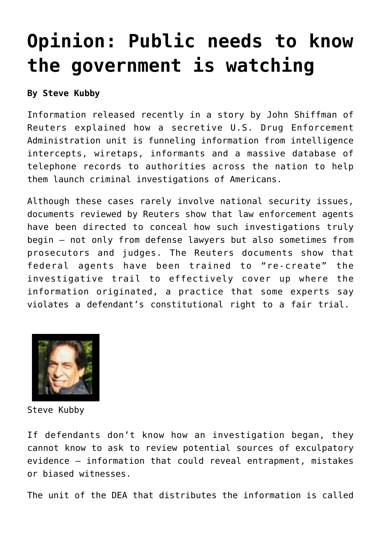## **[Opinion: Public needs to know](https://www.laketahoenews.net/2013/08/opinion-public-needs-to-know-the-government-is-watching/) [the government is watching](https://www.laketahoenews.net/2013/08/opinion-public-needs-to-know-the-government-is-watching/)**

## **By Steve Kubby**

Information released recently in a story by John Shiffman of Reuters explained how a secretive U.S. Drug Enforcement Administration unit is funneling information from intelligence intercepts, wiretaps, informants and a massive database of telephone records to authorities across the nation to help them launch criminal investigations of Americans.

Although these cases rarely involve national security issues, documents reviewed by Reuters show that law enforcement agents have been directed to conceal how such investigations truly begin – not only from defense lawyers but also sometimes from prosecutors and judges. The Reuters documents show that federal agents have been trained to "re-create" the investigative trail to effectively cover up where the information originated, a practice that some experts say violates a defendant's constitutional right to a fair trial.



Steve Kubby

If defendants don't know how an investigation began, they cannot know to ask to review potential sources of exculpatory evidence – information that could reveal entrapment, mistakes or biased witnesses.

The unit of the DEA that distributes the information is called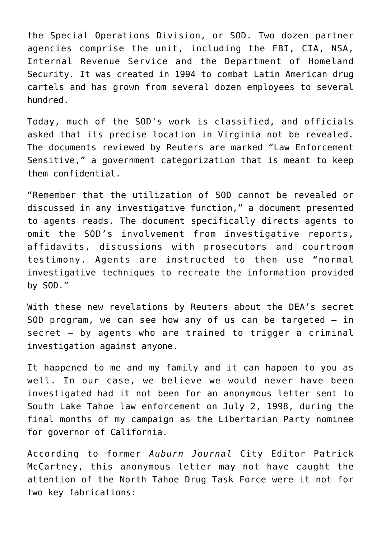the Special Operations Division, or SOD. Two dozen partner agencies comprise the unit, including the FBI, CIA, NSA, Internal Revenue Service and the Department of Homeland Security. It was created in 1994 to combat Latin American drug cartels and has grown from several dozen employees to several hundred.

Today, much of the SOD's work is classified, and officials asked that its precise location in Virginia not be revealed. The documents reviewed by Reuters are marked "Law Enforcement Sensitive," a government categorization that is meant to keep them confidential.

"Remember that the utilization of SOD cannot be revealed or discussed in any investigative function," a document presented to agents reads. The document specifically directs agents to omit the SOD's involvement from investigative reports, affidavits, discussions with prosecutors and courtroom testimony. Agents are instructed to then use "normal investigative techniques to recreate the information provided by SOD."

With these new revelations by Reuters about the DEA's secret SOD program, we can see how any of us can be targeted  $-$  in secret – by agents who are trained to trigger a criminal investigation against anyone.

It happened to me and my family and it can happen to you as well. In our case, we believe we would never have been investigated had it not been for an anonymous letter sent to South Lake Tahoe law enforcement on July 2, 1998, during the final months of my campaign as the Libertarian Party nominee for governor of California.

According to former *Auburn Journal* City Editor Patrick McCartney, this anonymous letter may not have caught the attention of the North Tahoe Drug Task Force were it not for two key fabrications: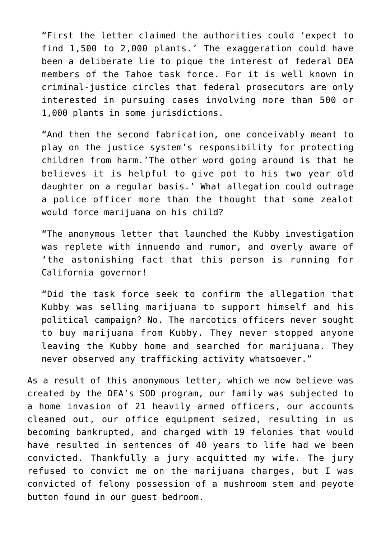"First the letter claimed the authorities could 'expect to find 1,500 to 2,000 plants.' The exaggeration could have been a deliberate lie to pique the interest of federal DEA members of the Tahoe task force. For it is well known in criminal-justice circles that federal prosecutors are only interested in pursuing cases involving more than 500 or 1,000 plants in some jurisdictions.

"And then the second fabrication, one conceivably meant to play on the justice system's responsibility for protecting children from harm.'The other word going around is that he believes it is helpful to give pot to his two year old daughter on a regular basis.' What allegation could outrage a police officer more than the thought that some zealot would force marijuana on his child?

"The anonymous letter that launched the Kubby investigation was replete with innuendo and rumor, and overly aware of 'the astonishing fact that this person is running for California governor!

"Did the task force seek to confirm the allegation that Kubby was selling marijuana to support himself and his political campaign? No. The narcotics officers never sought to buy marijuana from Kubby. They never stopped anyone leaving the Kubby home and searched for marijuana. They never observed any trafficking activity whatsoever."

As a result of this anonymous letter, which we now believe was created by the DEA's SOD program, our family was subjected to a home invasion of 21 heavily armed officers, our accounts cleaned out, our office equipment seized, resulting in us becoming bankrupted, and charged with 19 felonies that would have resulted in sentences of 40 years to life had we been convicted. Thankfully a jury acquitted my wife. The jury refused to convict me on the marijuana charges, but I was convicted of felony possession of a mushroom stem and peyote button found in our guest bedroom.